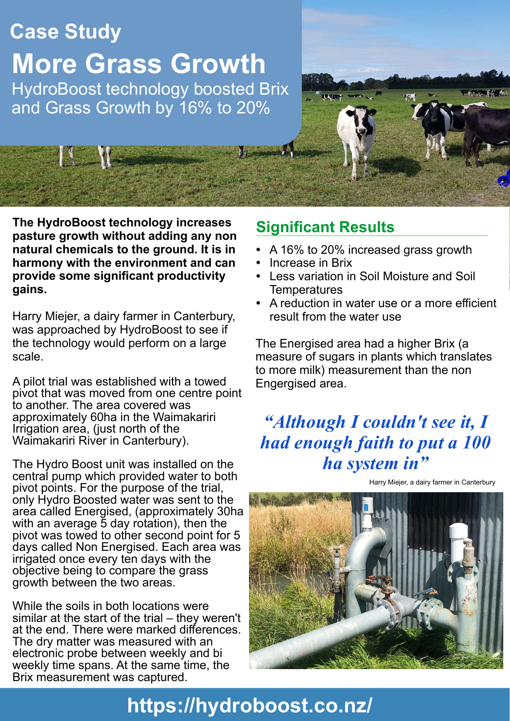# **Case Study More Grass Growth** HydroBoost technology boosted Brix

and Grass Growth by 16% to 20%

**The HydroBoost technology increases pasture growth without adding any non natural chemicals to the ground. It is in harmony with the environment and can provide some significant productivity gains.**

Harry Miejer, a dairy farmer in Canterbury, was approached by HydroBoost to see if the technology would perform on a large scale.

A pilot trial was established with a towed pivot that was moved from one centre point to another. The area covered was approximately 60ha in the Waimakariri Irrigation area, (just north of the Waimakariri River in Canterbury).

The Hydro Boost unit was installed on the central pump which provided water to both pivot points. For the purpose of the trial, only Hydro Boosted water was sent to the area called Energised, (approximately 30ha with an average 5 day rotation), then the pivot was towed to other second point for 5 days called Non Energised. Each area was irrigated once every ten days with the objective being to compare the grass growth between the two areas.

While the soils in both locations were similar at the start of the trial – they weren't at the end. There were marked differences. The dry matter was measured with an electronic probe between weekly and bi weekly time spans. At the same time, the Brix measurement was captured.

### **Significant Results**

- A 16% to 20% increased grass growth
- Increase in Brix
- Less variation in Soil Moisture and Soil **Temperatures**
- A reduction in water use or a more efficient result from the water use

The Energised area had a higher Brix (a measure of sugars in plants which translates to more milk) measurement than the non Engergised area.

### *"Although I couldn't see it, I had enough faith to put a 100 ha system in"*





# **https://hydroboost.co.nz/**